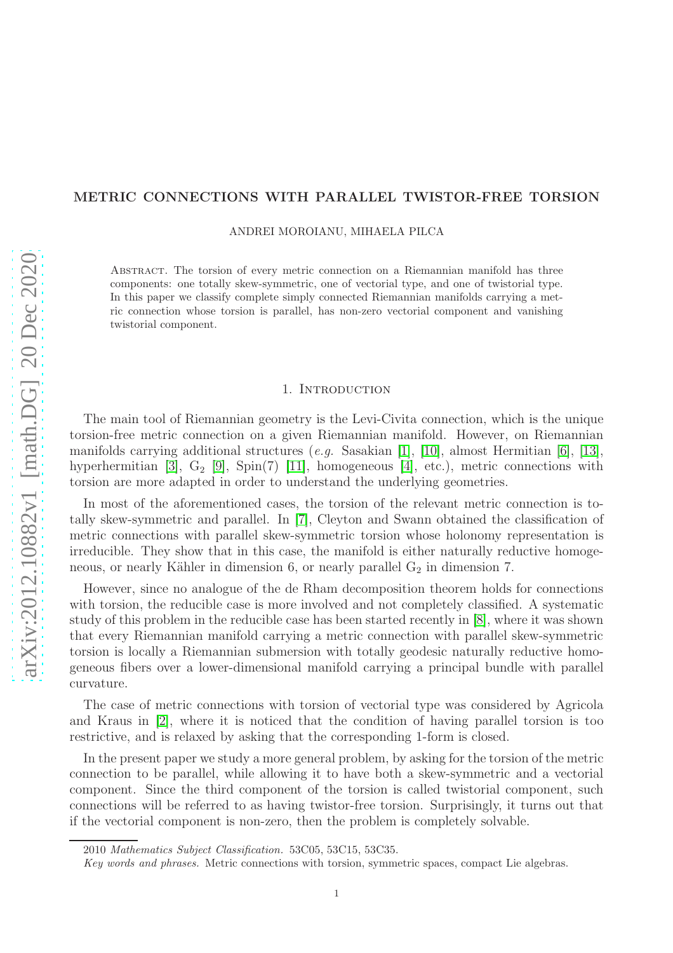# METRIC CONNECTIONS WITH PARALLEL TWISTOR-FREE TORSION

ANDREI MOROIANU, MIHAELA PILCA

Abstract. The torsion of every metric connection on a Riemannian manifold has three components: one totally skew-symmetric, one of vectorial type, and one of twistorial type. In this paper we classify complete simply connected Riemannian manifolds carrying a metric connection whose torsion is parallel, has non-zero vectorial component and vanishing twistorial component.

### 1. INTRODUCTION

The main tool of Riemannian geometry is the Levi-Civita connection, which is the unique torsion-free metric connection on a given Riemannian manifold. However, on Riemannian manifolds carrying additional structures (*e.g.* Sasakian [\[1\]](#page-14-0), [\[10\]](#page-14-1), almost Hermitian [\[6\]](#page-14-2), [\[13\]](#page-14-3), hyperhermitian [\[3\]](#page-14-4),  $G_2$  [\[9\]](#page-14-5), Spin(7) [\[11\]](#page-14-6), homogeneous [\[4\]](#page-14-7), etc.), metric connections with torsion are more adapted in order to understand the underlying geometries.

In most of the aforementioned cases, the torsion of the relevant metric connection is totally skew-symmetric and parallel. In [\[7\]](#page-14-8), Cleyton and Swann obtained the classification of metric connections with parallel skew-symmetric torsion whose holonomy representation is irreducible. They show that in this case, the manifold is either naturally reductive homogeneous, or nearly Kähler in dimension 6, or nearly parallel  $G_2$  in dimension 7.

However, since no analogue of the de Rham decomposition theorem holds for connections with torsion, the reducible case is more involved and not completely classified. A systematic study of this problem in the reducible case has been started recently in [\[8\]](#page-14-9), where it was shown that every Riemannian manifold carrying a metric connection with parallel skew-symmetric torsion is locally a Riemannian submersion with totally geodesic naturally reductive homogeneous fibers over a lower-dimensional manifold carrying a principal bundle with parallel curvature.

The case of metric connections with torsion of vectorial type was considered by Agricola and Kraus in [\[2\]](#page-14-10), where it is noticed that the condition of having parallel torsion is too restrictive, and is relaxed by asking that the corresponding 1-form is closed.

In the present paper we study a more general problem, by asking for the torsion of the metric connection to be parallel, while allowing it to have both a skew-symmetric and a vectorial component. Since the third component of the torsion is called twistorial component, such connections will be referred to as having twistor-free torsion. Surprisingly, it turns out that if the vectorial component is non-zero, then the problem is completely solvable.

<sup>2010</sup> Mathematics Subject Classification. 53C05, 53C15, 53C35.

Key words and phrases. Metric connections with torsion, symmetric spaces, compact Lie algebras.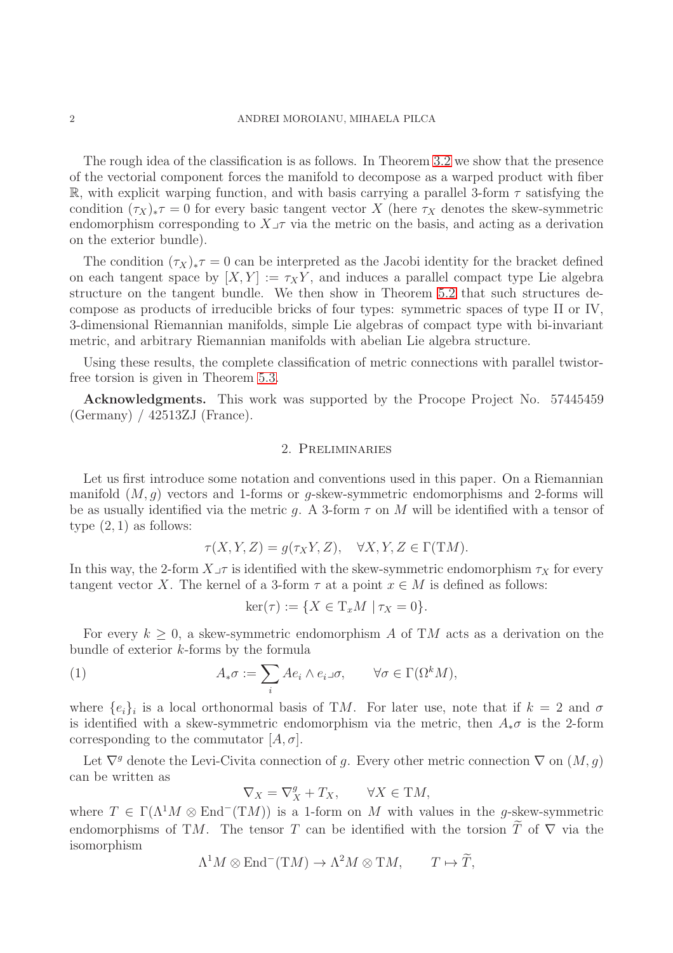The rough idea of the classification is as follows. In Theorem [3.2](#page-4-0) we show that the presence of the vectorial component forces the manifold to decompose as a warped product with fiber R, with explicit warping function, and with basis carrying a parallel 3-form  $\tau$  satisfying the condition  $(\tau_X)_*\tau = 0$  for every basic tangent vector X (here  $\tau_X$  denotes the skew-symmetric endomorphism corresponding to  $X\rightarrow\tau$  via the metric on the basis, and acting as a derivation on the exterior bundle).

The condition  $(\tau_X)_*\tau = 0$  can be interpreted as the Jacobi identity for the bracket defined on each tangent space by  $[X, Y] := \tau_X Y$ , and induces a parallel compact type Lie algebra structure on the tangent bundle. We then show in Theorem [5.2](#page-9-0) that such structures decompose as products of irreducible bricks of four types: symmetric spaces of type II or IV, 3-dimensional Riemannian manifolds, simple Lie algebras of compact type with bi-invariant metric, and arbitrary Riemannian manifolds with abelian Lie algebra structure.

Using these results, the complete classification of metric connections with parallel twistorfree torsion is given in Theorem [5.3.](#page-12-0)

Acknowledgments. This work was supported by the Procope Project No. 57445459 (Germany) / 42513ZJ (France).

### 2. Preliminaries

Let us first introduce some notation and conventions used in this paper. On a Riemannian manifold  $(M, g)$  vectors and 1-forms or g-skew-symmetric endomorphisms and 2-forms will be as usually identified via the metric q. A 3-form  $\tau$  on M will be identified with a tensor of type  $(2, 1)$  as follows:

$$
\tau(X, Y, Z) = g(\tau_X Y, Z), \quad \forall X, Y, Z \in \Gamma(TM).
$$

In this way, the 2-form  $X\_\tau$  is identified with the skew-symmetric endomorphism  $\tau_X$  for every tangent vector X. The kernel of a 3-form  $\tau$  at a point  $x \in M$  is defined as follows:

<span id="page-1-0"></span>
$$
\ker(\tau) := \{ X \in T_x M \mid \tau_X = 0 \}.
$$

For every  $k \geq 0$ , a skew-symmetric endomorphism A of TM acts as a derivation on the bundle of exterior k-forms by the formula

(1) 
$$
A_*\sigma := \sum_i Ae_i \wedge e_i \lrcorner \sigma, \qquad \forall \sigma \in \Gamma(\Omega^k M),
$$

where  $\{e_i\}_i$  is a local orthonormal basis of TM. For later use, note that if  $k=2$  and  $\sigma$ is identified with a skew-symmetric endomorphism via the metric, then  $A_*\sigma$  is the 2-form corresponding to the commutator  $[A, \sigma]$ .

Let  $\nabla^g$  denote the Levi-Civita connection of g. Every other metric connection  $\nabla$  on  $(M, g)$ can be written as

$$
\nabla_X = \nabla_X^g + T_X, \qquad \forall X \in \mathrm{T}M,
$$

where  $T \in \Gamma(\Lambda^1 M \otimes \text{End}^-(TM))$  is a 1-form on M with values in the g-skew-symmetric endomorphisms of TM. The tensor T can be identified with the torsion  $\tilde{T}$  of  $\nabla$  via the isomorphism

$$
\Lambda^1 M \otimes \text{End}^-(TM) \to \Lambda^2 M \otimes TM, \qquad T \mapsto \widetilde{T},
$$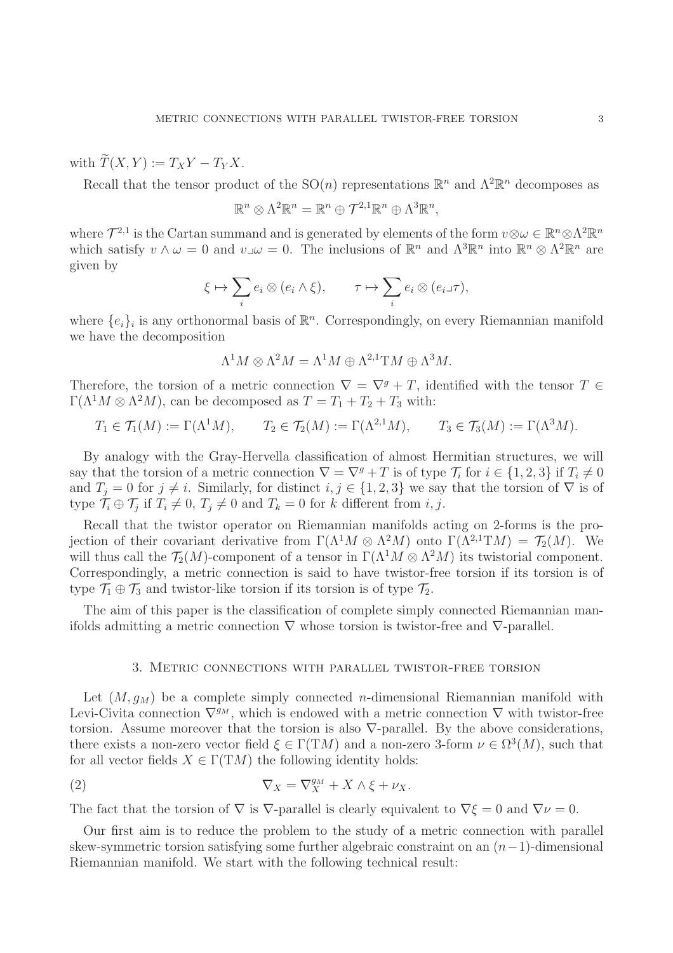with  $\widetilde{T}(X, Y) := T_X Y - T_Y X$ .

Recall that the tensor product of the  $SO(n)$  representations  $\mathbb{R}^n$  and  $\Lambda^2 \mathbb{R}^n$  decomposes as

$$
\mathbb{R}^n \otimes \Lambda^2 \mathbb{R}^n = \mathbb{R}^n \oplus \mathcal{T}^{2,1} \mathbb{R}^n \oplus \Lambda^3 \mathbb{R}^n,
$$

where  $\mathcal{T}^{2,1}$  is the Cartan summand and is generated by elements of the form  $v \otimes \omega \in \mathbb{R}^n \otimes \Lambda^2 \mathbb{R}^n$ which satisfy  $v \wedge \omega = 0$  and  $v \omega = 0$ . The inclusions of  $\mathbb{R}^n$  and  $\Lambda^3 \mathbb{R}^n$  into  $\mathbb{R}^n \otimes \Lambda^2 \mathbb{R}^n$  are given by

$$
\xi \mapsto \sum_i e_i \otimes (e_i \wedge \xi), \qquad \tau \mapsto \sum_i e_i \otimes (e_i \Box \tau),
$$

where  $\{e_i\}_i$  is any orthonormal basis of  $\mathbb{R}^n$ . Correspondingly, on every Riemannian manifold we have the decomposition

$$
\Lambda^1 M \otimes \Lambda^2 M = \Lambda^1 M \oplus \Lambda^{2,1} TM \oplus \Lambda^3 M.
$$

Therefore, the torsion of a metric connection  $\nabla = \nabla^g + T$ , identified with the tensor  $T \in$  $\Gamma(\Lambda^1 M \otimes \Lambda^2 M)$ , can be decomposed as  $T = T_1 + T_2 + T_3$  with:

$$
T_1 \in \mathcal{T}_1(M) := \Gamma(\Lambda^1 M), \qquad T_2 \in \mathcal{T}_2(M) := \Gamma(\Lambda^{2,1} M), \qquad T_3 \in \mathcal{T}_3(M) := \Gamma(\Lambda^3 M).
$$

By analogy with the Gray-Hervella classification of almost Hermitian structures, we will say that the torsion of a metric connection  $\nabla = \nabla^g + T$  is of type  $\mathcal{T}_i$  for  $i \in \{1, 2, 3\}$  if  $T_i \neq 0$ and  $T_i = 0$  for  $j \neq i$ . Similarly, for distinct  $i, j \in \{1, 2, 3\}$  we say that the torsion of  $\nabla$  is of type  $\mathcal{T}_i \oplus \mathcal{T}_j$  if  $T_i \neq 0, T_j \neq 0$  and  $T_k = 0$  for k different from i, j.

Recall that the twistor operator on Riemannian manifolds acting on 2-forms is the projection of their covariant derivative from  $\Gamma(\Lambda^1 M \otimes \Lambda^2 M)$  onto  $\Gamma(\Lambda^{2,1}TM) = \mathcal{T}_2(M)$ . We will thus call the  $\mathcal{T}_2(M)$ -component of a tensor in  $\Gamma(\Lambda^1 M \otimes \Lambda^2 M)$  its twistorial component. Correspondingly, a metric connection is said to have twistor-free torsion if its torsion is of type  $\mathcal{T}_1 \oplus \mathcal{T}_3$  and twistor-like torsion if its torsion is of type  $\mathcal{T}_2$ .

The aim of this paper is the classification of complete simply connected Riemannian manifolds admitting a metric connection  $\nabla$  whose torsion is twistor-free and  $\nabla$ -parallel.

## <span id="page-2-0"></span>3. Metric connections with parallel twistor-free torsion

Let  $(M, g_M)$  be a complete simply connected *n*-dimensional Riemannian manifold with Levi-Civita connection  $\nabla^{g_M}$ , which is endowed with a metric connection  $\nabla$  with twistor-free torsion. Assume moreover that the torsion is also  $\nabla$ -parallel. By the above considerations, there exists a non-zero vector field  $\xi \in \Gamma(TM)$  and a non-zero 3-form  $\nu \in \Omega^3(M)$ , such that for all vector fields  $X \in \Gamma(TM)$  the following identity holds:

(2) 
$$
\nabla_X = \nabla_X^{g_M} + X \wedge \xi + \nu_X.
$$

The fact that the torsion of  $\nabla$  is  $\nabla$ -parallel is clearly equivalent to  $\nabla \xi = 0$  and  $\nabla \nu = 0$ .

Our first aim is to reduce the problem to the study of a metric connection with parallel skew-symmetric torsion satisfying some further algebraic constraint on an  $(n-1)$ -dimensional Riemannian manifold. We start with the following technical result: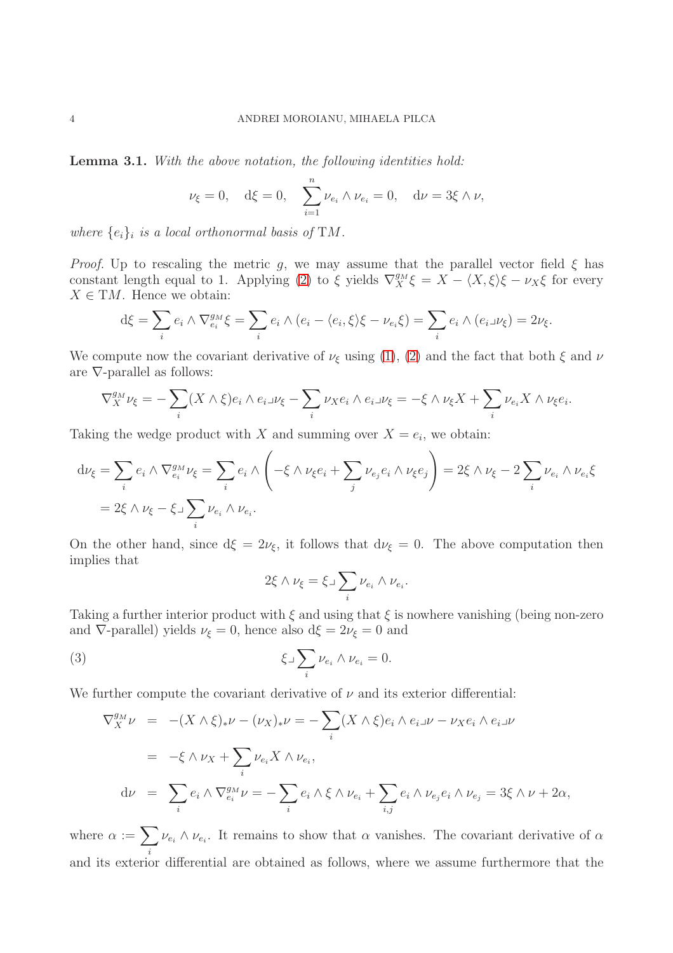<span id="page-3-1"></span>Lemma 3.1. *With the above notation, the following identities hold:*

$$
\nu_{\xi} = 0
$$
,  $d\xi = 0$ ,  $\sum_{i=1}^{n} \nu_{e_i} \wedge \nu_{e_i} = 0$ ,  $d\nu = 3\xi \wedge \nu$ ,

where  $\{e_i\}_i$  is a local orthonormal basis of TM.

*Proof.* Up to rescaling the metric g, we may assume that the parallel vector field  $\xi$  has constant length equal to 1. Applying [\(2\)](#page-2-0) to  $\xi$  yields  $\nabla_X^{g_M} \xi = X - \langle X, \xi \rangle \xi - \nu_X \xi$  for every  $X \in TM$ . Hence we obtain:

$$
d\xi = \sum_i e_i \wedge \nabla_{e_i}^{g_M} \xi = \sum_i e_i \wedge (e_i - \langle e_i, \xi \rangle \xi - \nu_{e_i} \xi) = \sum_i e_i \wedge (e_i \Box \nu_{\xi}) = 2\nu_{\xi}.
$$

We compute now the covariant derivative of  $\nu_{\xi}$  using [\(1\)](#page-1-0), [\(2\)](#page-2-0) and the fact that both  $\xi$  and  $\nu$ are  $\nabla$ -parallel as follows:

$$
\nabla^{g_M}_X \nu_\xi = -\sum_i (X \wedge \xi) e_i \wedge e_i \lrcorner \nu_\xi - \sum_i \nu_X e_i \wedge e_i \lrcorner \nu_\xi = -\xi \wedge \nu_\xi X + \sum_i \nu_{e_i} X \wedge \nu_\xi e_i.
$$

Taking the wedge product with X and summing over  $X = e_i$ , we obtain:

$$
d\nu_{\xi} = \sum_{i} e_{i} \wedge \nabla_{e_{i}}^{g_{M}} \nu_{\xi} = \sum_{i} e_{i} \wedge \left( -\xi \wedge \nu_{\xi} e_{i} + \sum_{j} \nu_{e_{j}} e_{i} \wedge \nu_{\xi} e_{j} \right) = 2\xi \wedge \nu_{\xi} - 2\sum_{i} \nu_{e_{i}} \wedge \nu_{e_{i}} \xi
$$
  
= 2\xi \wedge \nu\_{\xi} - \xi \wedge \sum\_{i} \nu\_{e\_{i}} \wedge \nu\_{e\_{i}}.

On the other hand, since  $d\xi = 2\nu_{\xi}$ , it follows that  $d\nu_{\xi} = 0$ . The above computation then implies that

<span id="page-3-0"></span>
$$
2\xi \wedge \nu_{\xi} = \xi \Box \sum_{i} \nu_{e_i} \wedge \nu_{e_i}.
$$

Taking a further interior product with  $\xi$  and using that  $\xi$  is nowhere vanishing (being non-zero and  $\nabla$ -parallel) yields  $\nu_{\xi} = 0$ , hence also  $d\xi = 2\nu_{\xi} = 0$  and

(3) 
$$
\xi \lrcorner \sum_{i} \nu_{e_i} \wedge \nu_{e_i} = 0.
$$

We further compute the covariant derivative of  $\nu$  and its exterior differential:

$$
\nabla_X^{g_M} \nu = -(X \wedge \xi)_* \nu - (\nu_X)_* \nu = -\sum_i (X \wedge \xi) e_i \wedge e_i \lrcorner \nu - \nu_X e_i \wedge e_i \lrcorner \nu
$$
  
=  $-\xi \wedge \nu_X + \sum_i \nu_{e_i} X \wedge \nu_{e_i},$   

$$
d\nu = \sum_i e_i \wedge \nabla_{e_i}^{g_M} \nu = -\sum_i e_i \wedge \xi \wedge \nu_{e_i} + \sum_{i,j} e_i \wedge \nu_{e_j} e_i \wedge \nu_{e_j} = 3\xi \wedge \nu + 2\alpha,
$$

where  $\alpha := \sum$ i  $\nu_{e_i} \wedge \nu_{e_i}$ . It remains to show that  $\alpha$  vanishes. The covariant derivative of  $\alpha$ and its exterior differential are obtained as follows, where we assume furthermore that the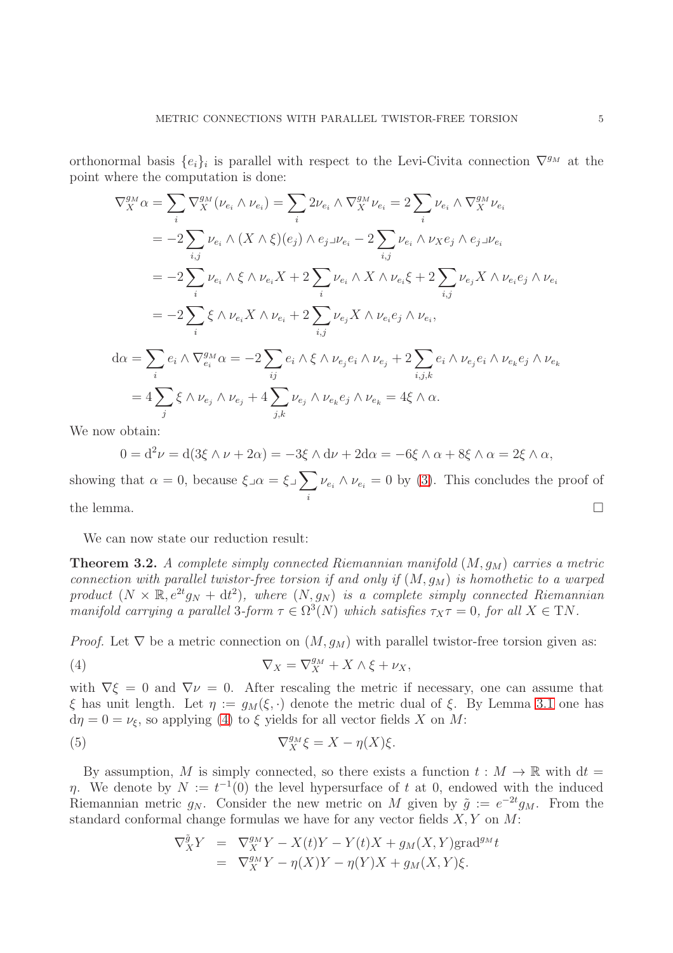orthonormal basis  $\{e_i\}_i$  is parallel with respect to the Levi-Civita connection  $\nabla^{g_M}$  at the point where the computation is done:

$$
\nabla_{X}^{g_M} \alpha = \sum_{i} \nabla_{X}^{g_M} (\nu_{e_i} \wedge \nu_{e_i}) = \sum_{i} 2\nu_{e_i} \wedge \nabla_{X}^{g_M} \nu_{e_i} = 2 \sum_{i} \nu_{e_i} \wedge \nabla_{X}^{g_M} \nu_{e_i}
$$
  
\n
$$
= -2 \sum_{i,j} \nu_{e_i} \wedge (X \wedge \xi)(e_j) \wedge e_j \sqcup e_i - 2 \sum_{i,j} \nu_{e_i} \wedge \nu_{X} e_j \wedge e_j \sqcup e_i
$$
  
\n
$$
= -2 \sum_{i} \nu_{e_i} \wedge \xi \wedge \nu_{e_i} X + 2 \sum_{i} \nu_{e_i} \wedge X \wedge \nu_{e_i} \xi + 2 \sum_{i,j} \nu_{e_j} X \wedge \nu_{e_i} e_j \wedge \nu_{e_i}
$$
  
\n
$$
= -2 \sum_{i} \xi \wedge \nu_{e_i} X \wedge \nu_{e_i} + 2 \sum_{i,j} \nu_{e_j} X \wedge \nu_{e_i} e_j \wedge \nu_{e_i},
$$
  
\n
$$
d\alpha = \sum_{i} e_i \wedge \nabla_{e_i}^{g_M} \alpha = -2 \sum_{ij} e_i \wedge \xi \wedge \nu_{e_j} e_i \wedge \nu_{e_j} + 2 \sum_{i,j,k} e_i \wedge \nu_{e_j} e_i \wedge \nu_{e_k} e_j \wedge \nu_{e_k}
$$
  
\n
$$
= 4 \sum_{j} \xi \wedge \nu_{e_j} \wedge \nu_{e_j} + 4 \sum_{j,k} \nu_{e_j} \wedge \nu_{e_k} e_j \wedge \nu_{e_k} = 4 \xi \wedge \alpha.
$$

We now obtain:

$$
0 = d^2 \nu = d(3\xi \wedge \nu + 2\alpha) = -3\xi \wedge d\nu + 2d\alpha = -6\xi \wedge \alpha + 8\xi \wedge \alpha = 2\xi \wedge \alpha,
$$

showing that  $\alpha = 0$ , because  $\xi \lrcorner \alpha = \xi \lrcorner \sum$ i  $\nu_{e_i} \wedge \nu_{e_i} = 0$  by [\(3\)](#page-3-0). This concludes the proof of the lemma.  $\square$ 

We can now state our reduction result:

<span id="page-4-0"></span>**Theorem 3.2.** A complete simply connected Riemannian manifold  $(M, q_M)$  carries a metric *connection with parallel twistor-free torsion if and only if*  $(M, g_M)$  *is homothetic to a warped* product  $(N \times \mathbb{R}, e^{2t}g_N + dt^2)$ , where  $(N, g_N)$  *is a complete simply connected Riemannian manifold carrying a parallel* 3-form  $\tau \in \Omega^3(N)$  *which satisfies*  $\tau_X \tau = 0$ , for all  $X \in TN$ .

*Proof.* Let  $\nabla$  be a metric connection on  $(M, g_M)$  with parallel twistor-free torsion given as:

<span id="page-4-1"></span>(4) 
$$
\nabla_X = \nabla_X^{g_M} + X \wedge \xi + \nu_X,
$$

with  $\nabla \xi = 0$  and  $\nabla \nu = 0$ . After rescaling the metric if necessary, one can assume that ξ has unit length. Let  $\eta := g_M(\xi, \cdot)$  denote the metric dual of ξ. By Lemma [3.1](#page-3-1) one has  $d\eta = 0 = \nu_{\xi}$ , so applying [\(4\)](#page-4-1) to  $\xi$  yields for all vector fields X on M:

(5) 
$$
\nabla_X^{g_M} \xi = X - \eta(X)\xi.
$$

By assumption, M is simply connected, so there exists a function  $t : M \to \mathbb{R}$  with  $dt =$  $\eta$ . We denote by  $N := t^{-1}(0)$  the level hypersurface of t at 0, endowed with the induced Riemannian metric  $g_N$ . Consider the new metric on M given by  $\tilde{g} := e^{-2t} g_M$ . From the standard conformal change formulas we have for any vector fields  $X, Y$  on  $M$ :

<span id="page-4-2"></span>
$$
\nabla_X^{\tilde{g}} Y = \nabla_X^{g_M} Y - X(t)Y - Y(t)X + g_M(X, Y) \text{grad}^{g_M} t
$$
  
= 
$$
\nabla_X^{g_M} Y - \eta(X)Y - \eta(Y)X + g_M(X, Y)\xi.
$$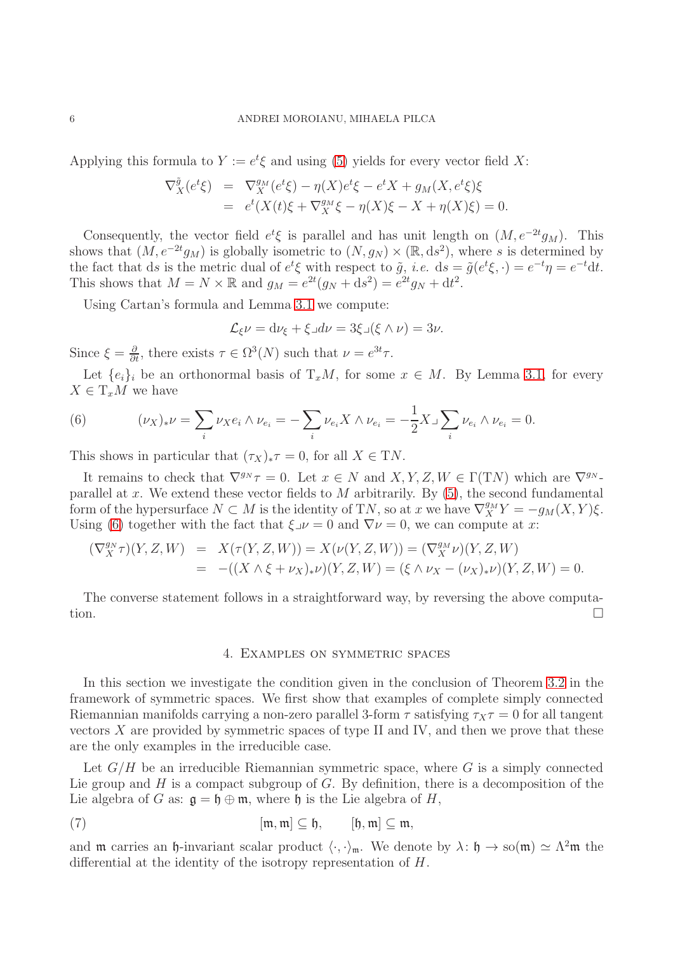Applying this formula to  $Y := e^t \xi$  and using [\(5\)](#page-4-2) yields for every vector field X:

$$
\nabla_X^{\tilde{g}}(e^t\xi) = \nabla_X^{g_M}(e^t\xi) - \eta(X)e^t\xi - e^tX + g_M(X, e^t\xi)\xi
$$
  
= 
$$
e^t(X(t)\xi + \nabla_X^{g_M}\xi - \eta(X)\xi - X + \eta(X)\xi) = 0.
$$

Consequently, the vector field  $e^t \xi$  is parallel and has unit length on  $(M, e^{-2t}g_M)$ . This shows that  $(M, e^{-2t}g_M)$  is globally isometric to  $(N, g_N) \times (\mathbb{R}, ds^2)$ , where s is determined by the fact that ds is the metric dual of  $e^t \xi$  with respect to  $\tilde{g}$ , *i.e.* ds =  $\tilde{g}(e^t \xi, \cdot) = e^{-t} \eta = e^{-t} dt$ . This shows that  $M = N \times \mathbb{R}$  and  $g_M = e^{2t}(g_N + ds^2) = e^{2t}g_N + dt^2$ .

Using Cartan's formula and Lemma [3.1](#page-3-1) we compute:

$$
\mathcal{L}_{\xi}\nu = d\nu_{\xi} + \xi \lrcorner d\nu = 3\xi \lrcorner (\xi \wedge \nu) = 3\nu.
$$

Since  $\xi = \frac{\partial}{\partial t}$ , there exists  $\tau \in \Omega^3(N)$  such that  $\nu = e^{3t}\tau$ .

Let  $\{e_i\}_i$  be an orthonormal basis of  $T_xM$ , for some  $x \in M$ . By Lemma [3.1,](#page-3-1) for every  $X \in T_xM$  we have

<span id="page-5-0"></span>(6) 
$$
(\nu_X)_* \nu = \sum_i \nu_X e_i \wedge \nu_{e_i} = -\sum_i \nu_{e_i} X \wedge \nu_{e_i} = -\frac{1}{2} X \lrcorner \sum_i \nu_{e_i} \wedge \nu_{e_i} = 0.
$$

This shows in particular that  $(\tau_X)_*\tau = 0$ , for all  $X \in \mathcal{T}N$ .

It remains to check that  $\nabla^{g_N} \tau = 0$ . Let  $x \in N$  and  $X, Y, Z, W \in \Gamma(TN)$  which are  $\nabla^{g_N}$ . parallel at x. We extend these vector fields to  $M$  arbitrarily. By  $(5)$ , the second fundamental form of the hypersurface  $N \subset M$  is the identity of TN, so at x we have  $\nabla_X^{g_M} Y = -g_M(X, Y)\xi$ . Using [\(6\)](#page-5-0) together with the fact that  $\xi \nu = 0$  and  $\nabla \nu = 0$ , we can compute at x:

$$
\begin{array}{rcl}\n(\nabla_X^{g_N} \tau)(Y, Z, W) & = & X(\tau(Y, Z, W)) = X(\nu(Y, Z, W)) = (\nabla_X^{g_M} \nu)(Y, Z, W) \\
& = & -((X \wedge \xi + \nu_X)_* \nu)(Y, Z, W) = (\xi \wedge \nu_X - (\nu_X)_* \nu)(Y, Z, W) = 0.\n\end{array}
$$

The converse statement follows in a straightforward way, by reversing the above computation.

### <span id="page-5-1"></span>4. Examples on symmetric spaces

In this section we investigate the condition given in the conclusion of Theorem [3.2](#page-4-0) in the framework of symmetric spaces. We first show that examples of complete simply connected Riemannian manifolds carrying a non-zero parallel 3-form  $\tau$  satisfying  $\tau_X \tau = 0$  for all tangent vectors  $X$  are provided by symmetric spaces of type II and IV, and then we prove that these are the only examples in the irreducible case.

Let  $G/H$  be an irreducible Riemannian symmetric space, where G is a simply connected Lie group and  $H$  is a compact subgroup of  $G$ . By definition, there is a decomposition of the Lie algebra of G as:  $\mathfrak{g} = \mathfrak{h} \oplus \mathfrak{m}$ , where  $\mathfrak{h}$  is the Lie algebra of H,

(7) 
$$
[\mathfrak{m},\mathfrak{m}] \subseteq \mathfrak{h}, \qquad [\mathfrak{h},\mathfrak{m}] \subseteq \mathfrak{m},
$$

and  $\mathfrak m$  carries an  $\mathfrak h$ -invariant scalar product  $\langle \cdot, \cdot \rangle_{\mathfrak m}$ . We denote by  $\lambda: \mathfrak h \to \infty(\mathfrak m) \simeq \Lambda^2\mathfrak m$  the differential at the identity of the isotropy representation of H.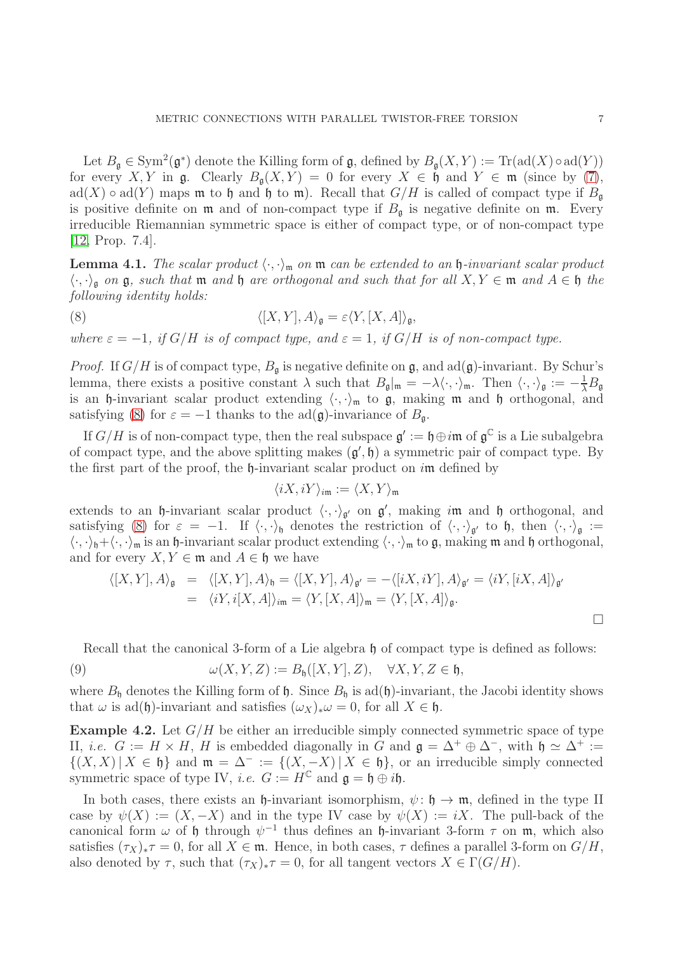Let  $B_{\mathfrak{g}} \in \text{Sym}^2(\mathfrak{g}^*)$  denote the Killing form of  $\mathfrak{g}$ , defined by  $B_{\mathfrak{g}}(X,Y) := \text{Tr}(\text{ad}(X) \circ \text{ad}(Y))$ for every X, Y in  $\mathfrak{g}$ . Clearly  $B_{\mathfrak{g}}(X,Y) = 0$  for every  $X \in \mathfrak{h}$  and  $Y \in \mathfrak{m}$  (since by [\(7\)](#page-5-1), ad(X)  $\circ$  ad(Y) maps m to h and h to m). Recall that  $G/H$  is called of compact type if  $B_{\mathfrak{a}}$ is positive definite on  $\mathfrak m$  and of non-compact type if  $B_{\mathfrak g}$  is negative definite on  $\mathfrak m$ . Every irreducible Riemannian symmetric space is either of compact type, or of non-compact type [\[12,](#page-14-11) Prop. 7.4].

<span id="page-6-1"></span>**Lemma 4.1.** *The scalar product*  $\langle \cdot, \cdot \rangle_{\mathfrak{m}}$  *on*  $\mathfrak{m}$  *can be extended to an*  $\mathfrak{h}$ *-invariant scalar product*  $\langle \cdot, \cdot \rangle_{\mathfrak{g}}$  *on*  $\mathfrak{g}$ *, such that*  $\mathfrak{m}$  *and*  $\mathfrak{h}$  *are orthogonal and such that for all*  $X, Y \in \mathfrak{m}$  *and*  $A \in \mathfrak{h}$  *the following identity holds:*

(8) 
$$
\langle [X,Y], A \rangle_{\mathfrak{g}} = \varepsilon \langle Y, [X,A] \rangle_{\mathfrak{g}},
$$

*where*  $\varepsilon = -1$ *, if*  $G/H$  *is of compact type, and*  $\varepsilon = 1$ *, if*  $G/H$  *is of non-compact type.* 

*Proof.* If  $G/H$  is of compact type,  $B_{\mathfrak{g}}$  is negative definite on  $\mathfrak{g}$ , and  $ad(\mathfrak{g})$ -invariant. By Schur's lemma, there exists a positive constant  $\lambda$  such that  $B_{\mathfrak{g}}|_{\mathfrak{m}} = -\lambda \langle \cdot, \cdot \rangle_{\mathfrak{m}}$ . Then  $\langle \cdot, \cdot \rangle_{\mathfrak{g}} := -\frac{1}{\lambda} B_{\mathfrak{g}}$ is an h-invariant scalar product extending  $\langle \cdot, \cdot \rangle_{\mathfrak{m}}$  to  $\mathfrak{g}$ , making  $\mathfrak{m}$  and h orthogonal, and satisfying [\(8\)](#page-6-0) for  $\varepsilon = -1$  thanks to the ad( $\mathfrak{g}$ )-invariance of  $B_{\mathfrak{a}}$ .

If  $G/H$  is of non-compact type, then the real subspace  $\mathfrak{g}' := \mathfrak{h} \oplus i\mathfrak{m}$  of  $\mathfrak{g}^{\mathbb{C}}$  is a Lie subalgebra of compact type, and the above splitting makes  $(\mathfrak{g}', \mathfrak{h})$  a symmetric pair of compact type. By the first part of the proof, the  $\mathfrak{h}$ -invariant scalar product on  $i\mathfrak{m}$  defined by

<span id="page-6-0"></span>
$$
\langle iX, iY\rangle_{i\mathfrak{m}} := \langle X, Y\rangle_{\mathfrak{m}}
$$

extends to an  $\mathfrak h$ -invariant scalar product  $\langle \cdot, \cdot \rangle_{\mathfrak{g}'}$  on  $\mathfrak{g}'$ , making im and  $\mathfrak h$  orthogonal, and satisfying [\(8\)](#page-6-0) for  $\varepsilon = -1$ . If  $\langle \cdot, \cdot \rangle_{\mathfrak{h}}$  denotes the restriction of  $\langle \cdot, \cdot \rangle_{\mathfrak{g}'}$  to  $\mathfrak{h}$ , then  $\langle \cdot, \cdot \rangle_{\mathfrak{g}} :=$  $\langle \cdot, \cdot \rangle_{\mathfrak{h}} + \langle \cdot, \cdot \rangle_{\mathfrak{m}}$  is an  $\mathfrak{h}$ -invariant scalar product extending  $\langle \cdot, \cdot \rangle_{\mathfrak{m}}$  to  $\mathfrak{g}$ , making  $\mathfrak{m}$  and  $\mathfrak{h}$  orthogonal, and for every  $X, Y \in \mathfrak{m}$  and  $A \in \mathfrak{h}$  we have

$$
\langle [X, Y], A \rangle_{\mathfrak{g}} = \langle [X, Y], A \rangle_{\mathfrak{h}} = \langle [X, Y], A \rangle_{\mathfrak{g}'} = -\langle [iX, iY], A \rangle_{\mathfrak{g}'} = \langle iY, [iX, A] \rangle_{\mathfrak{g}'}
$$
  
=  $\langle iY, i[X, A] \rangle_{\mathfrak{im}} = \langle Y, [X, A] \rangle_{\mathfrak{m}} = \langle Y, [X, A] \rangle_{\mathfrak{g}}.$ 

<span id="page-6-2"></span>Recall that the canonical 3-form of a Lie algebra  $\mathfrak h$  of compact type is defined as follows:

(9) 
$$
\omega(X, Y, Z) := B_{\mathfrak{h}}([X, Y], Z), \quad \forall X, Y, Z \in \mathfrak{h},
$$

where  $B_{\mathfrak{h}}$  denotes the Killing form of  $\mathfrak{h}$ . Since  $B_{\mathfrak{h}}$  is ad( $\mathfrak{h}$ )-invariant, the Jacobi identity shows that  $\omega$  is ad(h)-invariant and satisfies  $(\omega_X)_*\omega = 0$ , for all  $X \in \mathfrak{h}$ .

<span id="page-6-3"></span>**Example 4.2.** Let  $G/H$  be either an irreducible simply connected symmetric space of type II, *i.e.*  $G := H \times H$ , H is embedded diagonally in G and  $\mathfrak{g} = \Delta^+ \oplus \Delta^-$ , with  $\mathfrak{h} \simeq \Delta^+ :=$  $\{(X, X) | X \in \mathfrak{h}\}\$ and  $\mathfrak{m} = \Delta^- := \{(X, -X) | X \in \mathfrak{h}\}\$ , or an irreducible simply connected symmetric space of type IV, *i.e.*  $G := H^{\mathbb{C}}$  and  $\mathfrak{g} = \mathfrak{h} \oplus i\mathfrak{h}$ .

In both cases, there exists an  $\mathfrak{h}$ -invariant isomorphism,  $\psi: \mathfrak{h} \to \mathfrak{m}$ , defined in the type II case by  $\psi(X) := (X, -X)$  and in the type IV case by  $\psi(X) := iX$ . The pull-back of the canonical form  $\omega$  of h through  $\psi^{-1}$  thus defines an h-invariant 3-form  $\tau$  on  $\mathfrak{m}$ , which also satisfies  $(\tau_X)_*\tau = 0$ , for all  $X \in \mathfrak{m}$ . Hence, in both cases,  $\tau$  defines a parallel 3-form on  $G/H$ , also denoted by  $\tau$ , such that  $(\tau_X)_*\tau = 0$ , for all tangent vectors  $X \in \Gamma(G/H)$ .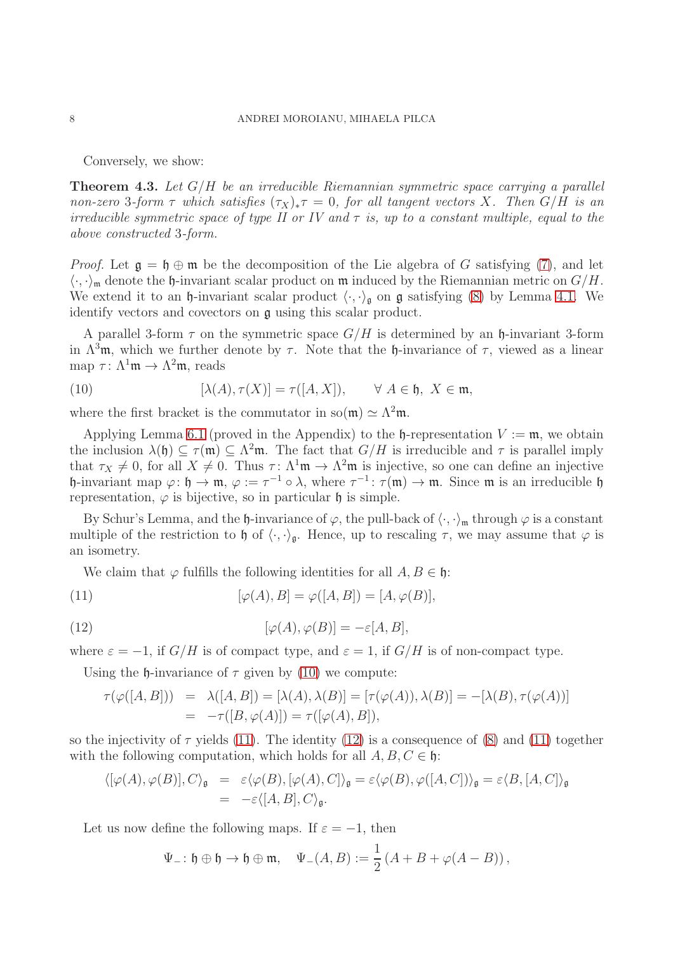Conversely, we show:

<span id="page-7-3"></span>Theorem 4.3. *Let* G/H *be an irreducible Riemannian symmetric space carrying a parallel non-zero* 3*-form*  $\tau$  *which satisfies*  $(\tau_X)_*\tau = 0$ *, for all tangent vectors* X*. Then*  $G/H$  *is an irreducible symmetric space of type II or IV and* τ *is, up to a constant multiple, equal to the above constructed* 3*-form.*

*Proof.* Let  $\mathfrak{g} = \mathfrak{h} \oplus \mathfrak{m}$  be the decomposition of the Lie algebra of G satisfying [\(7\)](#page-5-1), and let  $\langle \cdot, \cdot \rangle_{\mathfrak{m}}$  denote the  $\mathfrak{h}$ -invariant scalar product on  $\mathfrak{m}$  induced by the Riemannian metric on  $G/H$ . We extend it to an  $\mathfrak h$ -invariant scalar product  $\langle \cdot, \cdot \rangle_{\mathfrak g}$  on  $\mathfrak g$  satisfying [\(8\)](#page-6-0) by Lemma [4.1.](#page-6-1) We identify vectors and covectors on g using this scalar product.

A parallel 3-form  $\tau$  on the symmetric space  $G/H$  is determined by an h-invariant 3-form in  $\Lambda^3$ m, which we further denote by  $\tau$ . Note that the h-invariance of  $\tau$ , viewed as a linear map  $\tau : \Lambda^1 \mathfrak{m} \to \Lambda^2 \mathfrak{m}$ , reads

<span id="page-7-0"></span>(10) 
$$
[\lambda(A), \tau(X)] = \tau([A, X]), \quad \forall A \in \mathfrak{h}, X \in \mathfrak{m},
$$

where the first bracket is the commutator in so $(\mathfrak{m}) \simeq \Lambda^2 \mathfrak{m}$ .

Applying Lemma [6.1](#page-13-0) (proved in the Appendix) to the  $\mathfrak{h}$ -representation  $V := \mathfrak{m}$ , we obtain the inclusion  $\lambda(\mathfrak{h}) \subseteq \tau(\mathfrak{m}) \subseteq \Lambda^2\mathfrak{m}$ . The fact that  $G/H$  is irreducible and  $\tau$  is parallel imply that  $\tau_X \neq 0$ , for all  $X \neq 0$ . Thus  $\tau : \Lambda^1 \mathfrak{m} \to \Lambda^2 \mathfrak{m}$  is injective, so one can define an injective h-invariant map  $\varphi: \mathfrak{h} \to \mathfrak{m}$ ,  $\varphi := \tau^{-1} \circ \lambda$ , where  $\tau^{-1}: \tau(\mathfrak{m}) \to \mathfrak{m}$ . Since  $\mathfrak{m}$  is an irreducible  $\mathfrak{h}$ representation,  $\varphi$  is bijective, so in particular  $\mathfrak h$  is simple.

By Schur's Lemma, and the  $\mathfrak h$ -invariance of  $\varphi$ , the pull-back of  $\langle \cdot, \cdot \rangle_{\mathfrak m}$  through  $\varphi$  is a constant multiple of the restriction to h of  $\langle \cdot, \cdot \rangle_{\mathfrak{g}}$ . Hence, up to rescaling  $\tau$ , we may assume that  $\varphi$  is an isometry.

<span id="page-7-1"></span>We claim that  $\varphi$  fulfills the following identities for all  $A, B \in \mathfrak{h}$ :

(11) 
$$
[\varphi(A), B] = \varphi([A, B]) = [A, \varphi(B)],
$$

(12) 
$$
[\varphi(A), \varphi(B)] = -\varepsilon[A, B],
$$

where  $\varepsilon = -1$ , if  $G/H$  is of compact type, and  $\varepsilon = 1$ , if  $G/H$  is of non-compact type.

Using the h-invariance of  $\tau$  given by [\(10\)](#page-7-0) we compute:

<span id="page-7-2"></span>
$$
\tau(\varphi([A, B])) = \lambda([A, B]) = [\lambda(A), \lambda(B)] = [\tau(\varphi(A)), \lambda(B)] = -[\lambda(B), \tau(\varphi(A))]
$$
  
= 
$$
-\tau([B, \varphi(A)]) = \tau([\varphi(A), B]),
$$

so the injectivity of  $\tau$  yields [\(11\)](#page-7-1). The identity [\(12\)](#page-7-2) is a consequence of [\(8\)](#page-6-0) and (11) together with the following computation, which holds for all  $A, B, C \in \mathfrak{h}$ :

$$
\langle [\varphi(A), \varphi(B)], C \rangle_{\mathfrak{g}} = \varepsilon \langle \varphi(B), [\varphi(A), C] \rangle_{\mathfrak{g}} = \varepsilon \langle \varphi(B), \varphi([A, C]) \rangle_{\mathfrak{g}} = \varepsilon \langle B, [A, C] \rangle_{\mathfrak{g}}
$$
  
=  $-\varepsilon \langle [A, B], C \rangle_{\mathfrak{g}}.$ 

Let us now define the following maps. If  $\varepsilon = -1$ , then

$$
\Psi_{-} \colon \mathfrak{h} \oplus \mathfrak{h} \to \mathfrak{h} \oplus \mathfrak{m}, \quad \Psi_{-}(A, B) := \frac{1}{2} \left( A + B + \varphi(A - B) \right),
$$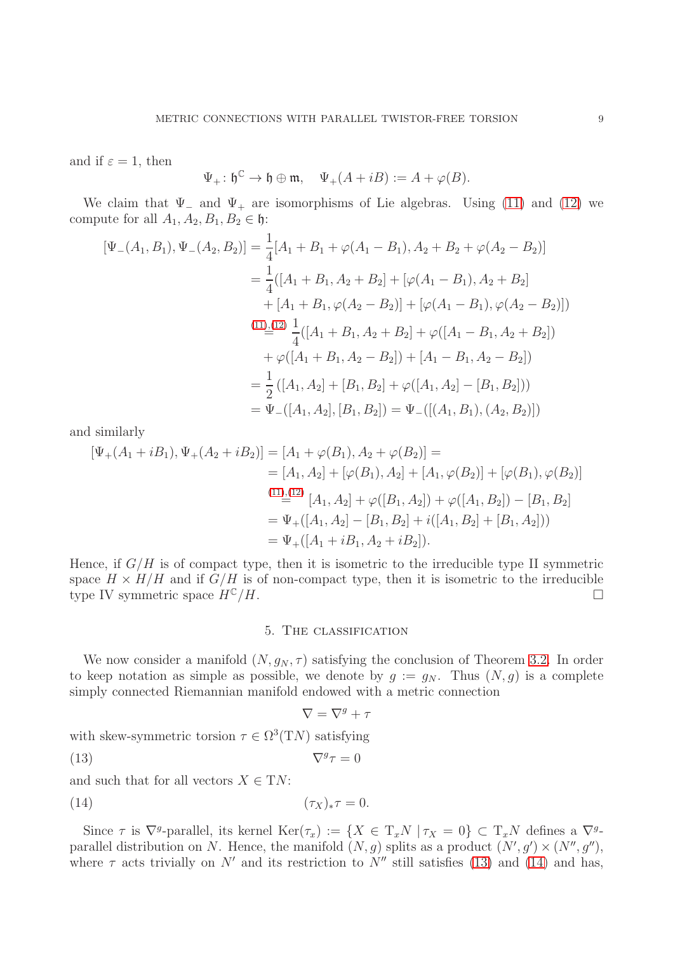and if  $\varepsilon = 1$ , then

$$
\Psi_+\colon \mathfrak{h}^\mathbb{C}\to \mathfrak{h}\oplus \mathfrak{m},\quad \Psi_+(A+iB):=A+\varphi(B).
$$

We claim that  $\Psi$ <sub>-</sub> and  $\Psi$ <sub>+</sub> are isomorphisms of Lie algebras. Using [\(11\)](#page-7-1) and [\(12\)](#page-7-2) we compute for all  $A_1, A_2, B_1, B_2 \in \mathfrak{h}$ :

$$
[\Psi_{-}(A_{1}, B_{1}), \Psi_{-}(A_{2}, B_{2})] = \frac{1}{4}[A_{1} + B_{1} + \varphi(A_{1} - B_{1}), A_{2} + B_{2} + \varphi(A_{2} - B_{2})]
$$
  
\n
$$
= \frac{1}{4}([A_{1} + B_{1}, A_{2} + B_{2}] + [\varphi(A_{1} - B_{1}), A_{2} + B_{2}]
$$
  
\n
$$
+ [A_{1} + B_{1}, \varphi(A_{2} - B_{2})] + [\varphi(A_{1} - B_{1}), \varphi(A_{2} - B_{2})])
$$
  
\n
$$
\stackrel{(11)_{\cdot}(12)}{=} \frac{1}{4}([A_{1} + B_{1}, A_{2} + B_{2}] + \varphi([A_{1} - B_{1}, A_{2} + B_{2}])
$$
  
\n
$$
+ \varphi([A_{1} + B_{1}, A_{2} - B_{2}]) + [A_{1} - B_{1}, A_{2} - B_{2}])
$$
  
\n
$$
= \frac{1}{2}([A_{1}, A_{2}] + [B_{1}, B_{2}] + \varphi([A_{1}, A_{2}] - [B_{1}, B_{2}]))
$$
  
\n
$$
= \Psi_{-}([A_{1}, A_{2}], [B_{1}, B_{2}]) = \Psi_{-}([(A_{1}, B_{1}), (A_{2}, B_{2})])
$$

and similarly

$$
[\Psi_{+}(A_{1}+iB_{1}), \Psi_{+}(A_{2}+iB_{2})] = [A_{1} + \varphi(B_{1}), A_{2} + \varphi(B_{2})] =
$$
  
\n
$$
= [A_{1}, A_{2}] + [\varphi(B_{1}), A_{2}] + [A_{1}, \varphi(B_{2})] + [\varphi(B_{1}), \varphi(B_{2})]
$$
  
\n
$$
\stackrel{(11),(12)}{=} [A_{1}, A_{2}] + \varphi([B_{1}, A_{2}]) + \varphi([A_{1}, B_{2}]) - [B_{1}, B_{2}]
$$
  
\n
$$
= \Psi_{+}([A_{1}, A_{2}] - [B_{1}, B_{2}] + i([A_{1}, B_{2}] + [B_{1}, A_{2}]))
$$
  
\n
$$
= \Psi_{+}([A_{1} + iB_{1}, A_{2} + iB_{2}]).
$$

Hence, if  $G/H$  is of compact type, then it is isometric to the irreducible type II symmetric space  $H \times H/H$  and if  $G/H$  is of non-compact type, then it is isometric to the irreducible type IV symmetric space  $H^{\mathbb{C}}/H$ .

### 5. The classification

We now consider a manifold  $(N, g_N, \tau)$  satisfying the conclusion of Theorem [3.2.](#page-4-0) In order to keep notation as simple as possible, we denote by  $g := g_N$ . Thus  $(N, g)$  is a complete simply connected Riemannian manifold endowed with a metric connection

<span id="page-8-1"></span><span id="page-8-0"></span>
$$
\nabla = \nabla^g + \tau
$$

with skew-symmetric torsion  $\tau \in \Omega^3(TN)$  satisfying

$$
\nabla^g \tau = 0
$$

and such that for all vectors  $X \in TN$ :

(14)  $(\tau_X)_*\tau = 0.$ 

Since  $\tau$  is  $\nabla^g$ -parallel, its kernel  $\text{Ker}(\tau_x) := \{X \in \mathrm{T}_x N \mid \tau_X = 0\} \subset \mathrm{T}_x N$  defines a  $\nabla^g$ parallel distribution on N. Hence, the manifold  $(N, g)$  splits as a product  $(N', g') \times (N'', g'')$ , where  $\tau$  acts trivially on N' and its restriction to N'' still satisfies [\(13\)](#page-8-0) and [\(14\)](#page-8-1) and has,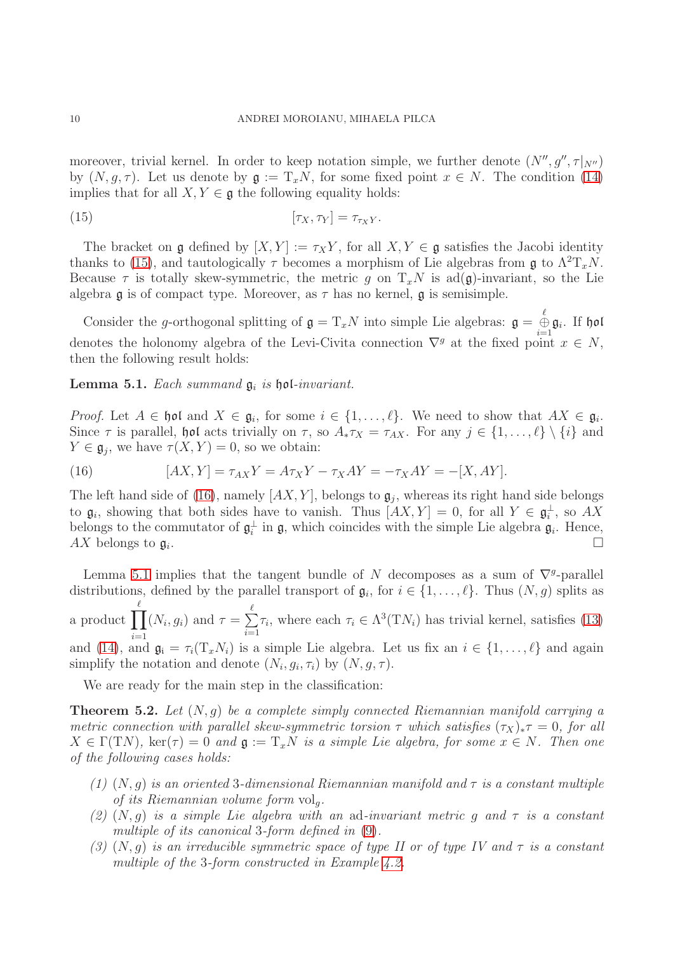moreover, trivial kernel. In order to keep notation simple, we further denote  $(N'', g'', \tau|_{N''})$ by  $(N, g, \tau)$ . Let us denote by  $g := T_xN$ , for some fixed point  $x \in N$ . The condition [\(14\)](#page-8-1) implies that for all  $X, Y \in \mathfrak{g}$  the following equality holds:

<span id="page-9-1"></span>
$$
[\tau_X, \tau_Y] = \tau_{\tau_X Y}.
$$

The bracket on g defined by  $[X, Y] := \tau_X Y$ , for all  $X, Y \in \mathfrak{g}$  satisfies the Jacobi identity thanks to [\(15\)](#page-9-1), and tautologically  $\tau$  becomes a morphism of Lie algebras from  $\mathfrak{g}$  to  $\Lambda^2 T_x N$ . Because  $\tau$  is totally skew-symmetric, the metric g on  $T_xN$  is ad(g)-invariant, so the Lie algebra  $\mathfrak g$  is of compact type. Moreover, as  $\tau$  has no kernel,  $\mathfrak g$  is semisimple.

Consider the g-orthogonal splitting of  $\mathfrak{g} = T_x N$  into simple Lie algebras:  $\mathfrak{g} = \bigoplus_{i=1}^{\ell} \mathfrak{g}_i$ . If  $\mathfrak{hol}$ denotes the holonomy algebra of the Levi-Civita connection  $\nabla^g$  at the fixed point  $x \in N$ , then the following result holds:

<span id="page-9-3"></span>Lemma 5.1. *Each summand*  $\mathfrak{g}_i$  *is*  $\mathfrak{hol}\textrm{-}invariant$ .

*Proof.* Let  $A \in \mathfrak{hol}$  and  $X \in \mathfrak{g}_i$ , for some  $i \in \{1, \ldots, \ell\}$ . We need to show that  $AX \in \mathfrak{g}_i$ . Since  $\tau$  is parallel, hol acts trivially on  $\tau$ , so  $A_*\tau_X = \tau_{AX}$ . For any  $j \in \{1, ..., \ell\} \setminus \{i\}$  and  $Y \in \mathfrak{g}_j$ , we have  $\tau(X, Y) = 0$ , so we obtain:

<span id="page-9-2"></span>(16) 
$$
[AX, Y] = \tau_{AX} Y = A\tau_X Y - \tau_X AY = -\tau_X AY = -[X, AY].
$$

The left hand side of [\(16\)](#page-9-2), namely  $[AX, Y]$ , belongs to  $\mathfrak{g}_j$ , whereas its right hand side belongs to  $\mathfrak{g}_i$ , showing that both sides have to vanish. Thus  $[AX, Y] = 0$ , for all  $Y \in \mathfrak{g}_i^{\perp}$  $\frac{1}{i}$ , so  $AX$ belongs to the commutator of  $\mathfrak{g}_i^{\perp}$  $\frac{1}{i}$  in  $\mathfrak{g}$ , which coincides with the simple Lie algebra  $\mathfrak{g}_i$ . Hence,  $AX$  belongs to  $\mathfrak{g}_i$ . .

Lemma [5.1](#page-9-3) implies that the tangent bundle of N decomposes as a sum of  $\nabla^g$ -parallel distributions, defined by the parallel transport of  $\mathfrak{g}_i$ , for  $i \in \{1, \ldots, \ell\}$ . Thus  $(N, g)$  splits as a product  $\prod^{\ell}$  $i=1$  $(N_i, g_i)$  and  $\tau = \sum^{\ell}$  $i=1$  $\tau_i$ , where each  $\tau_i \in \Lambda^3(TN_i)$  has trivial kernel, satisfies [\(13\)](#page-8-0) and [\(14\)](#page-8-1), and  $\mathfrak{g}_i = \tau_i(T_x N_i)$  is a simple Lie algebra. Let us fix an  $i \in \{1, \ldots, \ell\}$  and again simplify the notation and denote  $(N_i, g_i, \tau_i)$  by  $(N, g, \tau)$ .

We are ready for the main step in the classification:

<span id="page-9-0"></span>Theorem 5.2. *Let* (N, g) *be a complete simply connected Riemannian manifold carrying a metric connection with parallel skew-symmetric torsion*  $\tau$  *which satisfies*  $(\tau_X)_*\tau = 0$ *, for all*  $X \in \Gamma(TN)$ , ker( $\tau$ ) = 0 and  $\mathfrak{g} := T_xN$  *is a simple Lie algebra, for some*  $x \in N$ *. Then one of the following cases holds:*

- *(1)* (N, g) *is an oriented* 3*-dimensional Riemannian manifold and* τ *is a constant multiple of its Riemannian volume form*  $vol_a$ .
- *(2)* (N, g) *is a simple Lie algebra with an* ad*-invariant metric* g *and* τ *is a constant multiple of its canonical* 3*-form defined in* [\(9\)](#page-6-2)*.*
- *(3)* (N, g) *is an irreducible symmetric space of type II or of type IV and* τ *is a constant multiple of the* 3*-form constructed in Example [4.2.](#page-6-3)*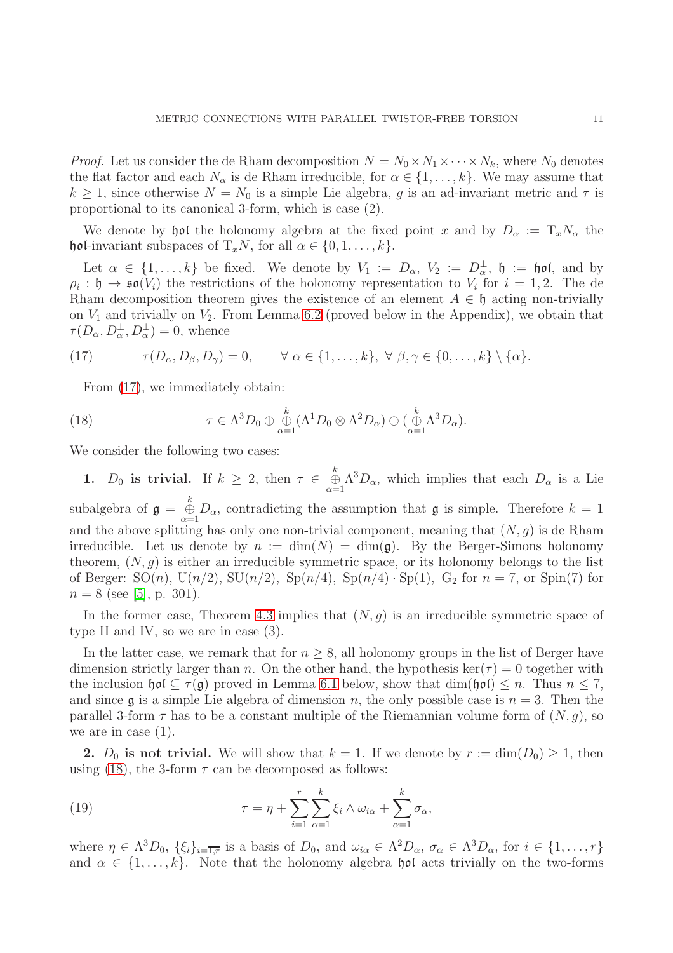*Proof.* Let us consider the de Rham decomposition  $N = N_0 \times N_1 \times \cdots \times N_k$ , where  $N_0$  denotes the flat factor and each  $N_{\alpha}$  is de Rham irreducible, for  $\alpha \in \{1, \ldots, k\}$ . We may assume that  $k \geq 1$ , since otherwise  $N = N_0$  is a simple Lie algebra, g is an ad-invariant metric and  $\tau$  is proportional to its canonical 3-form, which is case (2).

We denote by hol the holonomy algebra at the fixed point x and by  $D_{\alpha} := T_x N_{\alpha}$  the hol-invariant subspaces of  $T_xN$ , for all  $\alpha \in \{0, 1, ..., k\}$ .

Let  $\alpha \in \{1,\ldots,k\}$  be fixed. We denote by  $V_1 := D_\alpha$ ,  $V_2 := D_\alpha^{\perp}$ ,  $\mathfrak{h} := \mathfrak{hol}$ , and by  $\rho_i : \mathfrak{h} \to \mathfrak{so}(V_i)$  the restrictions of the holonomy representation to  $V_i$  for  $i = 1, 2$ . The de Rham decomposition theorem gives the existence of an element  $A \in \mathfrak{h}$  acting non-trivially on  $V_1$  and trivially on  $V_2$ . From Lemma [6.2](#page-13-1) (proved below in the Appendix), we obtain that  $\tau(D_{\alpha}, D_{\alpha}^{\perp}, D_{\alpha}^{\perp}) = 0$ , whence

(17) 
$$
\tau(D_{\alpha}, D_{\beta}, D_{\gamma}) = 0, \quad \forall \alpha \in \{1, ..., k\}, \forall \beta, \gamma \in \{0, ..., k\} \setminus \{\alpha\}.
$$

<span id="page-10-1"></span><span id="page-10-0"></span>From [\(17\)](#page-10-0), we immediately obtain:

(18) 
$$
\tau \in \Lambda^3 D_0 \oplus \bigoplus_{\alpha=1}^k (\Lambda^1 D_0 \otimes \Lambda^2 D_\alpha) \oplus \bigoplus_{\alpha=1}^k \Lambda^3 D_\alpha).
$$

We consider the following two cases:

1.  $D_0$  is trivial. If  $k \geq 2$ , then  $\tau \in \bigoplus_{\alpha=1}^k \Lambda^3 D_\alpha$ , which implies that each  $D_\alpha$  is a Lie subalgebra of  $\mathfrak{g} = \bigoplus_{\alpha=1}^k D_\alpha$ , contradicting the assumption that  $\mathfrak{g}$  is simple. Therefore  $k = 1$ and the above splitting has only one non-trivial component, meaning that  $(N, g)$  is de Rham irreducible. Let us denote by  $n := \dim(N) = \dim(\mathfrak{g})$ . By the Berger-Simons holonomy theorem,  $(N, g)$  is either an irreducible symmetric space, or its holonomy belongs to the list of Berger:  $SO(n)$ ,  $U(n/2)$ ,  $SU(n/2)$ ,  $Sp(n/4)$ ,  $Sp(n/4) \cdot Sp(1)$ ,  $G_2$  for  $n = 7$ , or  $Spin(7)$  for  $n = 8$  (see [\[5\]](#page-14-12), p. 301).

In the former case, Theorem [4.3](#page-7-3) implies that  $(N, q)$  is an irreducible symmetric space of type II and IV, so we are in case (3).

In the latter case, we remark that for  $n \geq 8$ , all holonomy groups in the list of Berger have dimension strictly larger than n. On the other hand, the hypothesis ker( $\tau$ ) = 0 together with the inclusion  $\mathfrak{hol} \subseteq \tau(\mathfrak{g})$  proved in Lemma [6.1](#page-13-0) below, show that  $\dim(\mathfrak{hol}) \leq n$ . Thus  $n \leq 7$ , and since  $\mathfrak g$  is a simple Lie algebra of dimension n, the only possible case is  $n = 3$ . Then the parallel 3-form  $\tau$  has to be a constant multiple of the Riemannian volume form of  $(N, g)$ , so we are in case  $(1)$ .

2.  $D_0$  is not trivial. We will show that  $k = 1$ . If we denote by  $r := \dim(D_0) \ge 1$ , then using [\(18\)](#page-10-1), the 3-form  $\tau$  can be decomposed as follows:

<span id="page-10-2"></span>(19) 
$$
\tau = \eta + \sum_{i=1}^{r} \sum_{\alpha=1}^{k} \xi_i \wedge \omega_{i\alpha} + \sum_{\alpha=1}^{k} \sigma_{\alpha},
$$

where  $\eta \in \Lambda^3 D_0$ ,  $\{\xi_i\}_{i=\overline{1,r}}$  is a basis of  $D_0$ , and  $\omega_{i\alpha} \in \Lambda^2 D_\alpha$ ,  $\sigma_\alpha \in \Lambda^3 D_\alpha$ , for  $i \in \{1, \ldots, r\}$ and  $\alpha \in \{1, \ldots, k\}$ . Note that the holonomy algebra hol acts trivially on the two-forms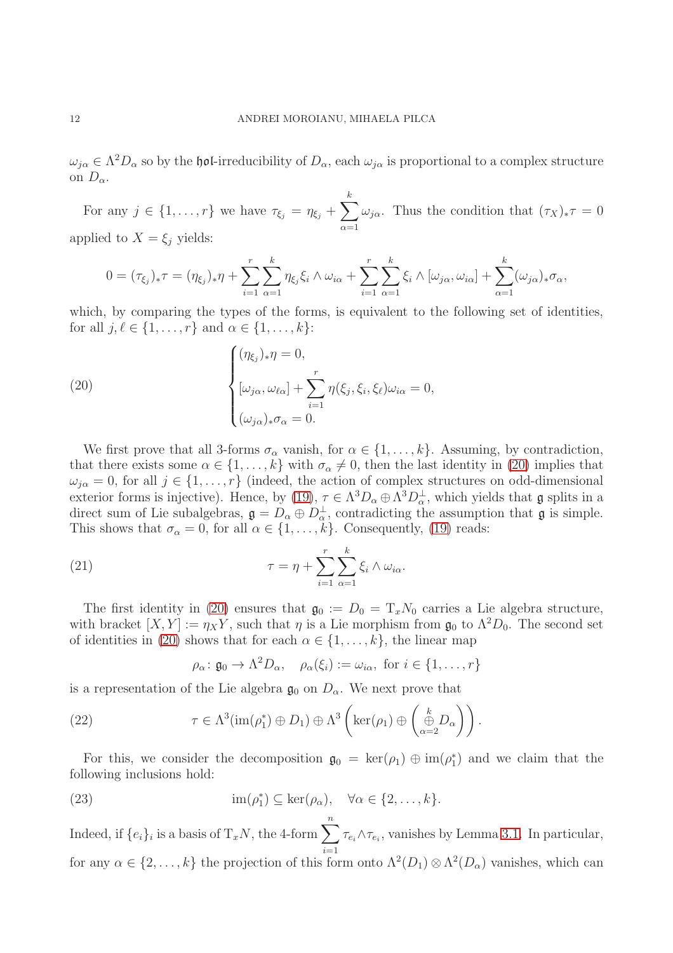$\omega_{j\alpha} \in \Lambda^2 D_\alpha$  so by the hol-irreducibility of  $D_\alpha$ , each  $\omega_{j\alpha}$  is proportional to a complex structure on  $D_{\alpha}$ .

For any  $j \in \{1, \ldots, r\}$  we have  $\tau_{\xi_j} = \eta_{\xi_j} + \sum_{i=1}^k \frac{1}{i}$  $\alpha=1$  $\omega_{j\alpha}$ . Thus the condition that  $(\tau_X)_*\tau = 0$ applied to  $X = \xi_j$  yields:

$$
0 = (\tau_{\xi_j})_* \tau = (\eta_{\xi_j})_* \eta + \sum_{i=1}^r \sum_{\alpha=1}^k \eta_{\xi_j} \xi_i \wedge \omega_{i\alpha} + \sum_{i=1}^r \sum_{\alpha=1}^k \xi_i \wedge [\omega_{j\alpha}, \omega_{i\alpha}] + \sum_{\alpha=1}^k (\omega_{j\alpha})_* \sigma_\alpha,
$$

which, by comparing the types of the forms, is equivalent to the following set of identities, for all  $j, \ell \in \{1, \ldots, r\}$  and  $\alpha \in \{1, \ldots, k\}$ :

<span id="page-11-0"></span>(20)  

$$
\begin{cases}\n(\eta_{\xi_j})_*\eta = 0, \\
[\omega_{j\alpha}, \omega_{\ell\alpha}] + \sum_{i=1}^r \eta(\xi_j, \xi_i, \xi_\ell) \omega_{i\alpha} = 0, \\
(\omega_{j\alpha})_* \sigma_\alpha = 0.\n\end{cases}
$$

We first prove that all 3-forms  $\sigma_{\alpha}$  vanish, for  $\alpha \in \{1, \ldots, k\}$ . Assuming, by contradiction, that there exists some  $\alpha \in \{1, \ldots, k\}$  with  $\sigma_{\alpha} \neq 0$ , then the last identity in [\(20\)](#page-11-0) implies that  $\omega_{j\alpha} = 0$ , for all  $j \in \{1, ..., r\}$  (indeed, the action of complex structures on odd-dimensional exterior forms is injective). Hence, by [\(19\)](#page-10-2),  $\tau \in \Lambda^3 D_\alpha \oplus \Lambda^3 D_\alpha^{\perp}$ , which yields that  $\mathfrak g$  splits in a direct sum of Lie subalgebras,  $\mathfrak{g} = D_{\alpha} \oplus D_{\alpha}^{\perp}$ , contradicting the assumption that  $\mathfrak{g}$  is simple. This shows that  $\sigma_{\alpha} = 0$ , for all  $\alpha \in \{1, ..., k\}$ . Consequently, [\(19\)](#page-10-2) reads:

(21) 
$$
\tau = \eta + \sum_{i=1}^{r} \sum_{\alpha=1}^{k} \xi_i \wedge \omega_{i\alpha}.
$$

The first identity in [\(20\)](#page-11-0) ensures that  $\mathfrak{g}_0 := D_0 = T_x N_0$  carries a Lie algebra structure, with bracket  $[X, Y] := \eta_X Y$ , such that  $\eta$  is a Lie morphism from  $\mathfrak{g}_0$  to  $\Lambda^2 D_0$ . The second set of identities in [\(20\)](#page-11-0) shows that for each  $\alpha \in \{1, \ldots, k\}$ , the linear map

<span id="page-11-3"></span><span id="page-11-2"></span><span id="page-11-1"></span>
$$
\rho_{\alpha} \colon \mathfrak{g}_0 \to \Lambda^2 D_{\alpha}, \quad \rho_{\alpha}(\xi_i) := \omega_{i\alpha}, \text{ for } i \in \{1, \dots, r\}
$$

is a representation of the Lie algebra  $\mathfrak{g}_0$  on  $D_\alpha$ . We next prove that

(22) 
$$
\tau \in \Lambda^3(\text{im}(\rho_1^*) \oplus D_1) \oplus \Lambda^3\left(\text{ker}(\rho_1) \oplus \begin{pmatrix} \mathbf{k} \\ \oplus \mathbf{k} \\ \alpha = 2 \end{pmatrix}\right).
$$

For this, we consider the decomposition  $\mathfrak{g}_0 = \ker(\rho_1) \oplus \text{im}(\rho_1^*$ 1 ) and we claim that the following inclusions hold:

(23) 
$$
\operatorname{im}(\rho_1^*) \subseteq \ker(\rho_\alpha), \quad \forall \alpha \in \{2, ..., k\}.
$$

Indeed, if  $\{e_i\}_i$  is a basis of  $T_xN$ , the 4-form  $\sum_{n=1}^n$  $i=1$  $\tau_{e_i} \wedge \tau_{e_i}$ , vanishes by Lemma [3.1.](#page-3-1) In particular, for any  $\alpha \in \{2, \ldots, k\}$  the projection of this form onto  $\Lambda^2(D_1) \otimes \Lambda^2(D_\alpha)$  vanishes, which can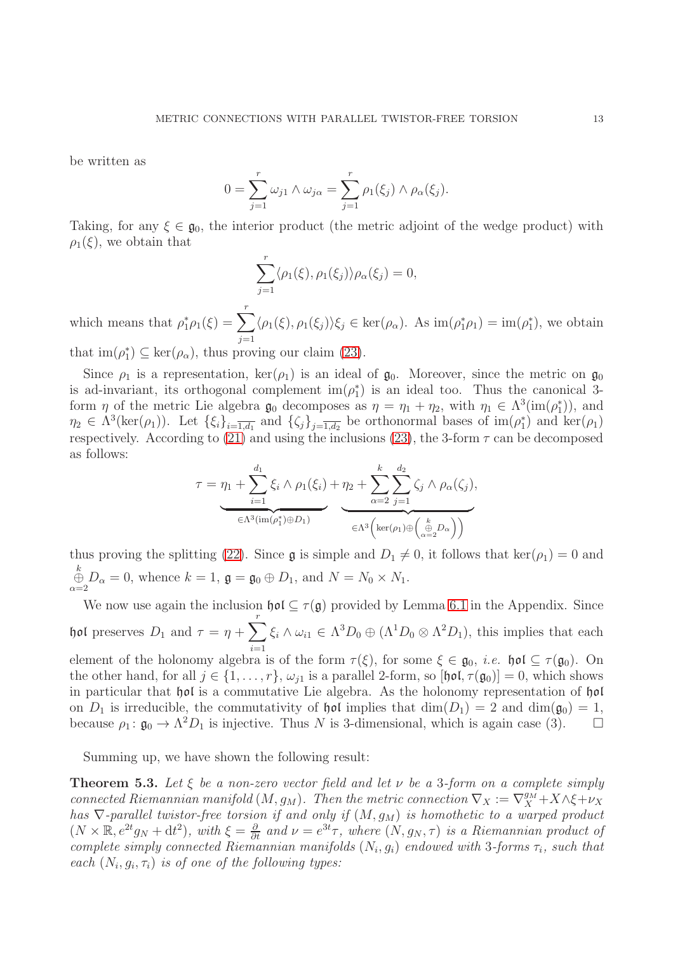be written as

$$
0 = \sum_{j=1}^r \omega_{j1} \wedge \omega_{j\alpha} = \sum_{j=1}^r \rho_1(\xi_j) \wedge \rho_\alpha(\xi_j).
$$

Taking, for any  $\xi \in \mathfrak{g}_0$ , the interior product (the metric adjoint of the wedge product) with  $\rho_1(\xi)$ , we obtain that

$$
\sum_{j=1}^r \langle \rho_1(\xi), \rho_1(\xi_j) \rangle \rho_\alpha(\xi_j) = 0,
$$

which means that  $\rho_1^*$  $_{1}^{*}\rho_{1}(\xi)=\sum_{r}^{r}% \frac{1}{\sqrt{2\pi}}\sum_{r}(\tau_{r}^{\ast}\lambda_{r}r_{r}^{2})\left( \frac{\xi}{\tau}\right) \label{r2}%$  $j=1$  $\langle \rho_1(\xi), \rho_1(\xi_j) \rangle \xi_j \in \ker(\rho_\alpha)$ . As  $\text{im}(\rho_1^* \rho_1) = \text{im}(\rho_1^*$  $_{1}^{*}$ ), we obtain

that  $\text{im}(\rho_1^*)$  $j_1^*$ )  $\subseteq$  ker $(\rho_{\alpha})$ , thus proving our claim [\(23\)](#page-11-1).

Since  $\rho_1$  is a representation,  $\ker(\rho_1)$  is an ideal of  $\mathfrak{g}_0$ . Moreover, since the metric on  $\mathfrak{g}_0$ is ad-invariant, its orthogonal complement  $\text{im}(\rho_1^*)$ 1 ) is an ideal too. Thus the canonical 3 form  $\eta$  of the metric Lie algebra  $\mathfrak{g}_0$  decomposes as  $\eta = \eta_1 + \eta_2$ , with  $\eta_1 \in \Lambda^3(\text{im}(\rho_1^*)$  $_{1}^{\ast}$ )), and  $\eta_2 \in \Lambda^3(\ker(\rho_1))$ . Let  $\{\xi_i\}_{i=\overline{1,d_1}}$  and  $\{\zeta_j\}_{j=\overline{1,d_2}}$  be orthonormal bases of  $\text{im}(\rho_1^*)$  $_{1}^{*}$ ) and ker $(\rho_1)$ respectively. According to [\(21\)](#page-11-2) and using the inclusions [\(23\)](#page-11-1), the 3-form  $\tau$  can be decomposed as follows:

$$
\tau = \eta_1 + \sum_{i=1}^{d_1} \xi_i \wedge \rho_1(\xi_i) + \eta_2 + \sum_{\alpha=2}^k \sum_{j=1}^{d_2} \zeta_j \wedge \rho_\alpha(\zeta_j),
$$
  

$$
\underbrace{\qquad \qquad }_{\in \Lambda^3(\text{im}(\rho_1^*) \oplus D_1)} \qquad \qquad \underbrace{\qquad \qquad }_{\in \Lambda^3(\text{ker}(\rho_1) \oplus \begin{pmatrix} k \\ \oplus D_\alpha \end{pmatrix})}
$$

thus proving the splitting [\(22\)](#page-11-3). Since  $\mathfrak g$  is simple and  $D_1 \neq 0$ , it follows that ker( $\rho_1$ ) = 0 and  $\overset{k}{\underset{\alpha=2}{\oplus}} D_{\alpha} = 0$ , whence  $k = 1$ ,  $\mathfrak{g} = \mathfrak{g}_0 \oplus D_1$ , and  $N = N_0 \times N_1$ .

We now use again the inclusion  $\mathfrak{hol}\subset \tau(\mathfrak{g})$  provided by Lemma [6.1](#page-13-0) in the Appendix. Since hol preserves  $D_1$  and  $τ = η + \sum^r$  $i=1$  $\xi_i \wedge \omega_{i1} \in \Lambda^3 D_0 \oplus (\Lambda^1 D_0 \otimes \Lambda^2 D_1)$ , this implies that each element of the holonomy algebra is of the form  $\tau(\xi)$ , for some  $\xi \in \mathfrak{g}_0$ , *i.e.*  $\mathfrak{hol} \subseteq \tau(\mathfrak{g}_0)$ . On the other hand, for all  $j \in \{1, \ldots, r\}$ ,  $\omega_{i1}$  is a parallel 2-form, so  $[\text{hol}, \tau(\mathfrak{g}_0)] = 0$ , which shows in particular that hol is a commutative Lie algebra. As the holonomy representation of hol on  $D_1$  is irreducible, the commutativity of  $\mathfrak{hol}$  implies that  $\dim(D_1) = 2$  and  $\dim(\mathfrak{g}_0) = 1$ , because  $\rho_1: \mathfrak{g}_0 \to \Lambda^2 D_1$  is injective. Thus N is 3-dimensional, which is again case (3).

Summing up, we have shown the following result:

<span id="page-12-0"></span>Theorem 5.3. *Let* ξ *be a non-zero vector field and let* ν *be a* 3*-form on a complete simply connected Riemannian manifold*  $(M, g_M)$ . Then the metric connection  $\nabla_X := \nabla_X^{g_M} + X \wedge \xi + \nu_X$ *has*  $\nabla$ -parallel twistor-free torsion if and only if  $(M, g_M)$  is homothetic to a warped product  $(N \times \mathbb{R}, e^{2t}g_N + dt^2)$ , with  $\xi = \frac{\partial}{\partial t}$  and  $\nu = e^{3t}\tau$ , where  $(N, g_N, \tau)$  is a Riemannian product of *complete simply connected Riemannian manifolds*  $(N_i, g_i)$  *endowed with* 3-forms  $\tau_i$ , such that *each*  $(N_i, g_i, \tau_i)$  *is of one of the following types:*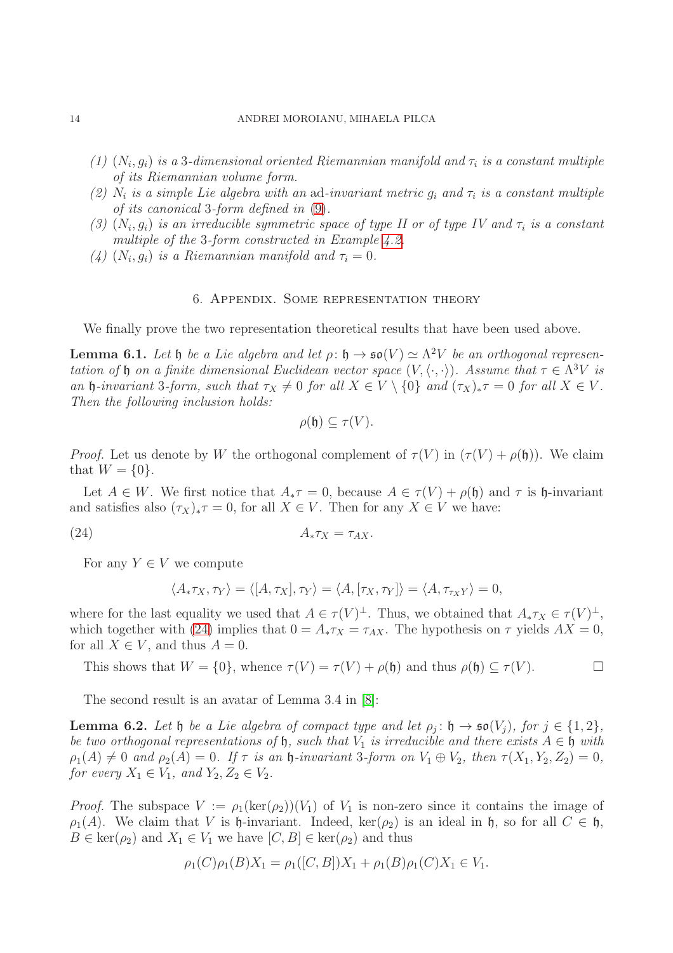- $(1)$   $(N_i, g_i)$  *is a* 3-dimensional oriented Riemannian manifold and  $\tau_i$  *is a constant multiple of its Riemannian volume form.*
- (2)  $N_i$  is a simple Lie algebra with an ad-invariant metric  $g_i$  and  $\tau_i$  is a constant multiple *of its canonical* 3*-form defined in* [\(9\)](#page-6-2)*.*
- $(3)$   $(N_i, g_i)$  *is an irreducible symmetric space of type II or of type IV and*  $\tau_i$  *is a constant multiple of the* 3*-form constructed in Example [4.2.](#page-6-3)*
- (4)  $(N_i, g_i)$  *is a Riemannian manifold and*  $\tau_i = 0$ *.*

## 6. Appendix. Some representation theory

We finally prove the two representation theoretical results that have been used above.

<span id="page-13-0"></span>Lemma 6.1. Let  $\mathfrak h$  *be a Lie algebra and let*  $\rho: \mathfrak h \to \mathfrak{so}(V) \simeq \Lambda^2 V$  *be an orthogonal representation of*  $\mathfrak h$  *on a finite dimensional Euclidean vector space*  $(V, \langle \cdot, \cdot \rangle)$ *. Assume that*  $\tau \in \Lambda^3 V$  *is an* h-invariant 3-form, such that  $\tau_X \neq 0$  for all  $X \in V \setminus \{0\}$  *and*  $(\tau_X)_*\tau = 0$  for all  $X \in V$ . *Then the following inclusion holds:*

<span id="page-13-2"></span>
$$
\rho(\mathfrak{h}) \subseteq \tau(V).
$$

*Proof.* Let us denote by W the orthogonal complement of  $\tau(V)$  in  $(\tau(V) + \rho(\mathfrak{h}))$ . We claim that  $W = \{0\}.$ 

Let  $A \in W$ . We first notice that  $A_*\tau = 0$ , because  $A \in \tau(V) + \rho(\mathfrak{h})$  and  $\tau$  is  $\mathfrak{h}$ -invariant and satisfies also  $(\tau_X)_*\tau = 0$ , for all  $X \in V$ . Then for any  $X \in V$  we have:

(24)  $A_* \tau_X = \tau_{AX}$ .

For any  $Y \in V$  we compute

$$
\langle A_* \tau_X, \tau_Y \rangle = \langle [A, \tau_X], \tau_Y \rangle = \langle A, [\tau_X, \tau_Y] \rangle = \langle A, \tau_{\tau_X Y} \rangle = 0,
$$

where for the last equality we used that  $A \in \tau(V)^{\perp}$ . Thus, we obtained that  $A_* \tau_X \in \tau(V)^{\perp}$ , which together with [\(24\)](#page-13-2) implies that  $0 = A_* \tau_X = \tau_{AX}$ . The hypothesis on  $\tau$  yields  $AX = 0$ , for all  $X \in V$ , and thus  $A = 0$ .

This shows that  $W = \{0\}$ , whence  $\tau(V) = \tau(V) + \rho(\mathfrak{h})$  and thus  $\rho(\mathfrak{h}) \subseteq \tau(V)$ .

The second result is an avatar of Lemma 3.4 in [\[8\]](#page-14-9):

<span id="page-13-1"></span>**Lemma 6.2.** Let  $\mathfrak{h}$  be a Lie algebra of compact type and let  $\rho_j: \mathfrak{h} \to \mathfrak{so}(V_j)$ , for  $j \in \{1,2\}$ , *be two orthogonal representations of*  $\mathfrak{h}$ *, such that*  $V_1$  *is irreducible and there exists*  $A \in \mathfrak{h}$  *with*  $\rho_1(A) \neq 0$  and  $\rho_2(A) = 0$ . If  $\tau$  is an  $\mathfrak h$ -invariant 3-form on  $V_1 \oplus V_2$ , then  $\tau(X_1, Y_2, Z_2) = 0$ , *for every*  $X_1 \in V_1$ *, and*  $Y_2, Z_2 \in V_2$ *.* 

*Proof.* The subspace  $V := \rho_1(\ker(\rho_2))(V_1)$  of  $V_1$  is non-zero since it contains the image of  $\rho_1(A)$ . We claim that V is h-invariant. Indeed, ker( $\rho_2$ ) is an ideal in h, so for all  $C \in \mathfrak{h}$ ,  $B \in \text{ker}(\rho_2)$  and  $X_1 \in V_1$  we have  $[C, B] \in \text{ker}(\rho_2)$  and thus

$$
\rho_1(C)\rho_1(B)X_1 = \rho_1([C,B])X_1 + \rho_1(B)\rho_1(C)X_1 \in V_1.
$$